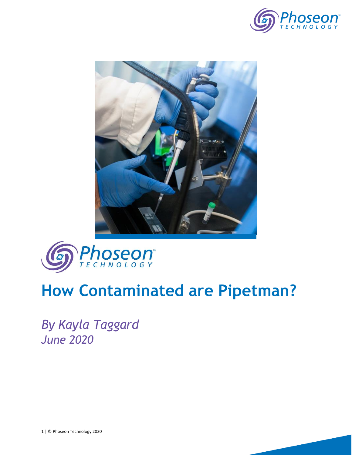





## **How Contaminated are Pipetman?**

*By Kayla Taggard June 2020*

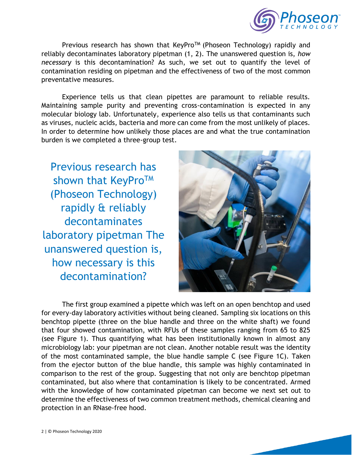

Previous research has shown that KeyPro<sup>TM</sup> (Phoseon Technology) rapidly and reliably decontaminates laboratory pipetman (1, 2). The unanswered question is, *how necessary* is this decontamination? As such, we set out to quantify the level of contamination residing on pipetman and the effectiveness of two of the most common preventative measures.

Experience tells us that clean pipettes are paramount to reliable results. Maintaining sample purity and preventing cross-contamination is expected in any molecular biology lab. Unfortunately, experience also tells us that contaminants such as viruses, nucleic acids, bacteria and more can come from the most unlikely of places. In order to determine how unlikely those places are and what the true contamination burden is we completed a three-group test.

Previous research has shown that KeyPro™ (Phoseon Technology) rapidly & reliably decontaminates laboratory pipetman The unanswered question is, how necessary is this decontamination?



The first group examined a pipette which was left on an open benchtop and used for every-day laboratory activities without being cleaned. Sampling six locations on this benchtop pipette (three on the blue handle and three on the white shaft) we found that four showed contamination, with RFUs of these samples ranging from 65 to 825 (see Figure 1). Thus quantifying what has been institutionally known in almost any microbiology lab: your pipetman are not clean. Another notable result was the identity of the most contaminated sample, the blue handle sample C (see Figure 1C). Taken from the ejector button of the blue handle, this sample was highly contaminated in comparison to the rest of the group. Suggesting that not only are benchtop pipetman contaminated, but also where that contamination is likely to be concentrated. Armed with the knowledge of how contaminated pipetman can become we next set out to determine the effectiveness of two common treatment methods, chemical cleaning and protection in an RNase-free hood.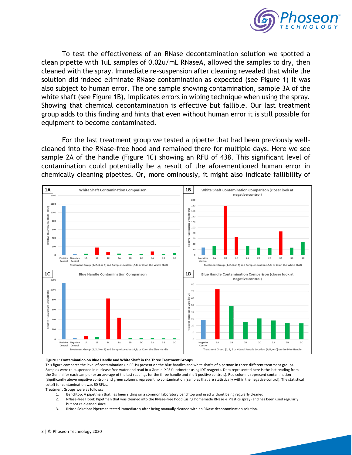

To test the effectiveness of an RNase decontamination solution we spotted a clean pipette with 1uL samples of 0.02u/mL RNaseA, allowed the samples to dry, then cleaned with the spray. Immediate re-suspension after cleaning revealed that while the solution did indeed eliminate RNase contamination as expected (see Figure 1) it was also subject to human error. The one sample showing contamination, sample 3A of the white shaft (see Figure 1B), implicates errors in wiping technique when using the spray. Showing that chemical decontamination is effective but fallible. Our last treatment group adds to this finding and hints that even without human error it is still possible for equipment to become contaminated.

For the last treatment group we tested a pipette that had been previously wellcleaned into the RNase-free hood and remained there for multiple days. Here we see sample 2A of the handle (Figure 1C) showing an RFU of 438. This significant level of contamination could potentially be a result of the aforementioned human error in chemically cleaning pipettes. Or, more ominously, it might also indicate fallibility of



## **Figure 1: Contamination on Blue Handle and White Shaft in the Three Treatment Groups**

This figure compares the level of contamination (in RFUs) present on the blue handles and white shafts of pipetman in three different treatment groups. Samples were re-suspended in nuclease free water and read in a Gemini XPS fluorimeter using IDT reagents. Data represented here is the last reading from the Gemini for each sample (or an average of the last readings for the three handle and shaft positive controls). Red columns represent contamination (significantly above negative control) and green columns represent no contamination (samples that are statistically within the negative control). The statistical cutoff for contamination was 60 RFUs.

Treatment Groups were as follows:<br>1. Benchtop: A pipetman

- 1. Benchtop: A pipetman that has been sitting on a common laboratory benchtop and used without being regularly cleaned.
- 2. RNase-free Hood: Pipetman that was cleaned into the RNase-free hood (using homemade RNase & Plastics spray) and has been used regularly but not re-cleaned since.
- 3. RNase Solution: Pipetman tested immediately after being manually cleaned with an RNase decontamination solution.